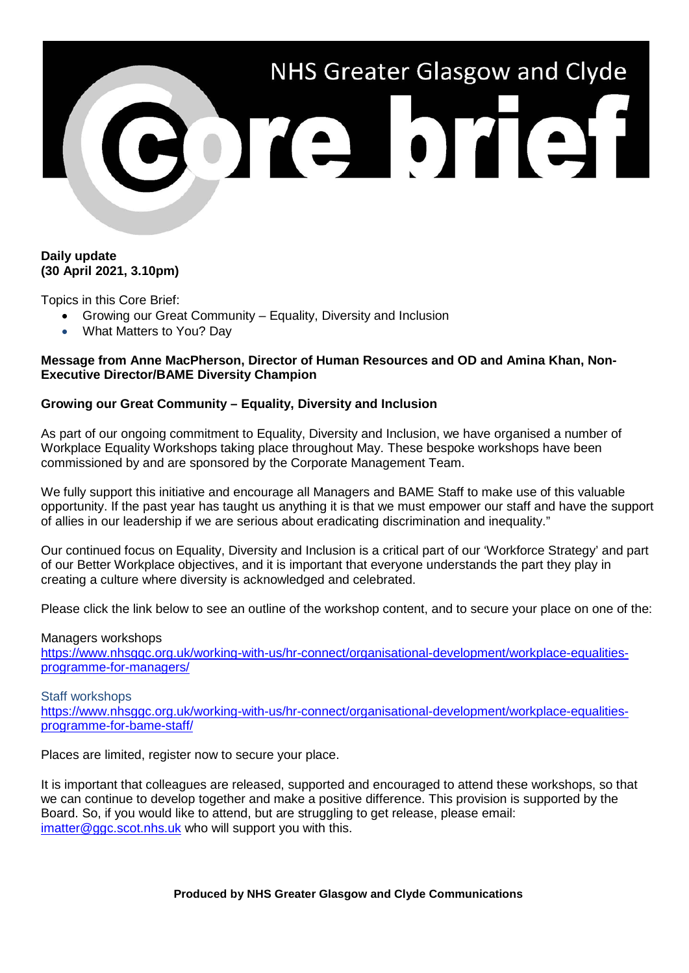

### **Daily update (30 April 2021, 3.10pm)**

Topics in this Core Brief:

- Growing our Great Community Equality, Diversity and Inclusion
- What Matters to You? Day

### **Message from Anne MacPherson, Director of Human Resources and OD and Amina Khan, Non-Executive Director/BAME Diversity Champion**

## **Growing our Great Community – Equality, Diversity and Inclusion**

As part of our ongoing commitment to Equality, Diversity and Inclusion, we have organised a number of Workplace Equality Workshops taking place throughout May. These bespoke workshops have been commissioned by and are sponsored by the Corporate Management Team.

We fully support this initiative and encourage all Managers and BAME Staff to make use of this valuable opportunity. If the past year has taught us anything it is that we must empower our staff and have the support of allies in our leadership if we are serious about eradicating discrimination and inequality."

Our continued focus on Equality, Diversity and Inclusion is a critical part of our 'Workforce Strategy' and part of our Better Workplace objectives, and it is important that everyone understands the part they play in creating a culture where diversity is acknowledged and celebrated.

Please click the link below to see an outline of the workshop content, and to secure your place on one of the:

### Managers workshops [https://www.nhsggc.org.uk/working-with-us/hr-connect/organisational-development/workplace-equalities](https://www.nhsggc.org.uk/working-with-us/hr-connect/organisational-development/workplace-equalities-programme-for-managers/)[programme-for-managers/](https://www.nhsggc.org.uk/working-with-us/hr-connect/organisational-development/workplace-equalities-programme-for-managers/)

#### Staff workshops

[https://www.nhsggc.org.uk/working-with-us/hr-connect/organisational-development/workplace-equalities](https://www.nhsggc.org.uk/working-with-us/hr-connect/organisational-development/workplace-equalities-programme-for-bame-staff/)[programme-for-bame-staff/](https://www.nhsggc.org.uk/working-with-us/hr-connect/organisational-development/workplace-equalities-programme-for-bame-staff/)

Places are limited, register now to secure your place.

It is important that colleagues are released, supported and encouraged to attend these workshops, so that we can continue to develop together and make a positive difference. This provision is supported by the Board. So, if you would like to attend, but are struggling to get release, please email: [imatter@ggc.scot.nhs.uk](mailto:imatter@ggc.scot.nhs.uk) who will support you with this.